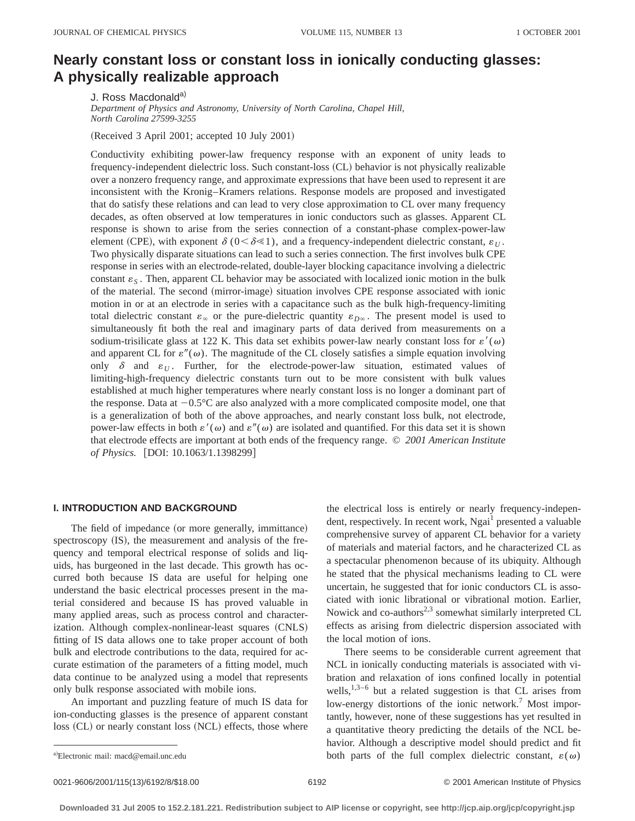# **Nearly constant loss or constant loss in ionically conducting glasses: A physically realizable approach**

J. Ross Macdonald<sup>a)</sup>

*Department of Physics and Astronomy, University of North Carolina, Chapel Hill, North Carolina 27599-3255*

(Received 3 April 2001; accepted 10 July 2001)

Conductivity exhibiting power-law frequency response with an exponent of unity leads to frequency-independent dielectric loss. Such constant-loss (CL) behavior is not physically realizable over a nonzero frequency range, and approximate expressions that have been used to represent it are inconsistent with the Kronig–Kramers relations. Response models are proposed and investigated that do satisfy these relations and can lead to very close approximation to CL over many frequency decades, as often observed at low temperatures in ionic conductors such as glasses. Apparent CL response is shown to arise from the series connection of a constant-phase complex-power-law element (CPE), with exponent  $\delta$  (0 <  $\delta \le 1$ ), and a frequency-independent dielectric constant,  $\varepsilon_U$ . Two physically disparate situations can lead to such a series connection. The first involves bulk CPE response in series with an electrode-related, double-layer blocking capacitance involving a dielectric constant  $\varepsilon_s$ . Then, apparent CL behavior may be associated with localized ionic motion in the bulk of the material. The second (mirror-image) situation involves CPE response associated with ionic motion in or at an electrode in series with a capacitance such as the bulk high-frequency-limiting total dielectric constant  $\varepsilon_{\infty}$  or the pure-dielectric quantity  $\varepsilon_{D\infty}$ . The present model is used to simultaneously fit both the real and imaginary parts of data derived from measurements on a sodium-trisilicate glass at 122 K. This data set exhibits power-law nearly constant loss for  $\varepsilon'(\omega)$ and apparent CL for  $\varepsilon''(\omega)$ . The magnitude of the CL closely satisfies a simple equation involving only  $\delta$  and  $\varepsilon_U$ . Further, for the electrode-power-law situation, estimated values of limiting-high-frequency dielectric constants turn out to be more consistent with bulk values established at much higher temperatures where nearly constant loss is no longer a dominant part of the response. Data at  $-0.5^{\circ}\text{C}$  are also analyzed with a more complicated composite model, one that is a generalization of both of the above approaches, and nearly constant loss bulk, not electrode, power-law effects in both  $\varepsilon'(\omega)$  and  $\varepsilon''(\omega)$  are isolated and quantified. For this data set it is shown that electrode effects are important at both ends of the frequency range. © *2001 American Institute of Physics.* [DOI: 10.1063/1.1398299]

## **I. INTRODUCTION AND BACKGROUND**

The field of impedance (or more generally, immittance) spectroscopy (IS), the measurement and analysis of the frequency and temporal electrical response of solids and liquids, has burgeoned in the last decade. This growth has occurred both because IS data are useful for helping one understand the basic electrical processes present in the material considered and because IS has proved valuable in many applied areas, such as process control and characterization. Although complex-nonlinear-least squares (CNLS) fitting of IS data allows one to take proper account of both bulk and electrode contributions to the data, required for accurate estimation of the parameters of a fitting model, much data continue to be analyzed using a model that represents only bulk response associated with mobile ions.

An important and puzzling feature of much IS data for ion-conducting glasses is the presence of apparent constant  $\log$  (CL) or nearly constant loss (NCL) effects, those where the electrical loss is entirely or nearly frequency-independent, respectively. In recent work, Ngai<sup>1</sup> presented a valuable comprehensive survey of apparent CL behavior for a variety of materials and material factors, and he characterized CL as a spectacular phenomenon because of its ubiquity. Although he stated that the physical mechanisms leading to CL were uncertain, he suggested that for ionic conductors CL is associated with ionic librational or vibrational motion. Earlier, Nowick and co-authors<sup>2,3</sup> somewhat similarly interpreted CL effects as arising from dielectric dispersion associated with the local motion of ions.

There seems to be considerable current agreement that NCL in ionically conducting materials is associated with vibration and relaxation of ions confined locally in potential wells,  $1,3-6$  but a related suggestion is that CL arises from low-energy distortions of the ionic network.<sup>7</sup> Most importantly, however, none of these suggestions has yet resulted in a quantitative theory predicting the details of the NCL behavior. Although a descriptive model should predict and fit both parts of the full complex dielectric constant,  $\varepsilon(\omega)$ 

0021-9606/2001/115(13)/6192/8/\$18.00 6192 6192 6192 6192 62001 6192 62001 American Institute of Physics

a)Electronic mail: macd@email.unc.edu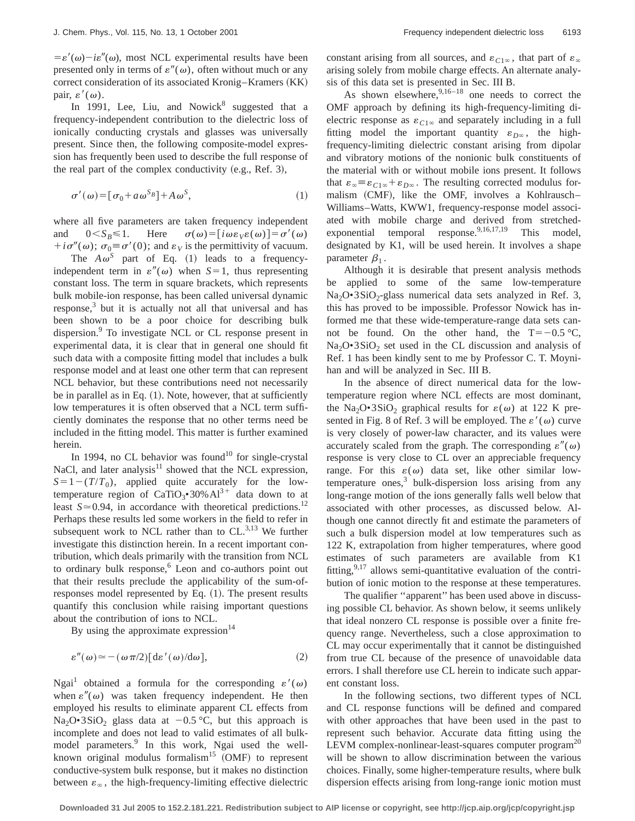$=\varepsilon'(\omega)-i\varepsilon''(\omega)$ , most NCL experimental results have been presented only in terms of  $\varepsilon''(\omega)$ , often without much or any  $correct$  consideration of its associated Kronig–Kramers  $(KK)$ pair,  $\varepsilon'(\omega)$ .

In 1991, Lee, Liu, and Nowick<sup>8</sup> suggested that a frequency-independent contribution to the dielectric loss of ionically conducting crystals and glasses was universally present. Since then, the following composite-model expression has frequently been used to describe the full response of the real part of the complex conductivity  $(e.g., Ref. 3)$ ,

$$
\sigma'(\omega) = [\sigma_0 + a\,\omega^{S_B}] + A\,\omega^S,\tag{1}
$$

where all five parameters are taken frequency independent and  $0 < S_B \le 1$ . Here  $\sigma(\omega) = [i\omega \varepsilon_V \varepsilon(\omega)] = \sigma'(\omega)$  $+i\sigma''(\omega)$ ;  $\sigma_0 \equiv \sigma'(0)$ ; and  $\varepsilon_V$  is the permittivity of vacuum.

The  $A\omega^S$  part of Eq. (1) leads to a frequencyindependent term in  $\varepsilon''(\omega)$  when  $S=1$ , thus representing constant loss. The term in square brackets, which represents bulk mobile-ion response, has been called universal dynamic  $response<sub>1</sub><sup>3</sup>$  but it is actually not all that universal and has been shown to be a poor choice for describing bulk dispersion.<sup>9</sup> To investigate NCL or CL response present in experimental data, it is clear that in general one should fit such data with a composite fitting model that includes a bulk response model and at least one other term that can represent NCL behavior, but these contributions need not necessarily be in parallel as in Eq.  $(1)$ . Note, however, that at sufficiently low temperatures it is often observed that a NCL term sufficiently dominates the response that no other terms need be included in the fitting model. This matter is further examined herein.

In 1994, no CL behavior was found<sup>10</sup> for single-crystal NaCl, and later analysis $11$  showed that the NCL expression,  $S=1-(T/T_0)$ , applied quite accurately for the lowtemperature region of CaTiO<sub>3</sub>•30%  $Al^{3+}$  data down to at least  $S \approx 0.94$ , in accordance with theoretical predictions.<sup>12</sup> Perhaps these results led some workers in the field to refer in subsequent work to NCL rather than to  $CL$ .<sup>3,13</sup> We further investigate this distinction herein. In a recent important contribution, which deals primarily with the transition from NCL to ordinary bulk response,<sup>6</sup> Leon and co-authors point out that their results preclude the applicability of the sum-ofresponses model represented by Eq.  $(1)$ . The present results quantify this conclusion while raising important questions about the contribution of ions to NCL.

By using the approximate expression $14$ 

$$
\varepsilon''(\omega) \approx -(\omega \pi/2) [\mathrm{d}\varepsilon'(\omega)/\mathrm{d}\omega],\tag{2}
$$

Ngai<sup>1</sup> obtained a formula for the corresponding  $\varepsilon'(\omega)$ when  $\varepsilon''(\omega)$  was taken frequency independent. He then employed his results to eliminate apparent CL effects from Na<sub>2</sub>O•3SiO<sub>2</sub> glass data at  $-0.5$  °C, but this approach is incomplete and does not lead to valid estimates of all bulkmodel parameters.<sup>9</sup> In this work, Ngai used the wellknown original modulus formalism<sup>15</sup>  $(OMF)$  to represent conductive-system bulk response, but it makes no distinction between  $\varepsilon_{\infty}$ , the high-frequency-limiting effective dielectric constant arising from all sources, and  $\varepsilon_{C1\infty}$ , that part of  $\varepsilon_{\infty}$ arising solely from mobile charge effects. An alternate analysis of this data set is presented in Sec. III B.

As shown elsewhere,  $9,16-18$  one needs to correct the OMF approach by defining its high-frequency-limiting dielectric response as  $\varepsilon_{C1\infty}$  and separately including in a full fitting model the important quantity  $\varepsilon_{D^\infty}$ , the highfrequency-limiting dielectric constant arising from dipolar and vibratory motions of the nonionic bulk constituents of the material with or without mobile ions present. It follows that  $\varepsilon_{\infty} \equiv \varepsilon_{C1\infty} + \varepsilon_{D\infty}$ . The resulting corrected modulus formalism (CMF), like the OMF, involves a Kohlrausch-Williams–Watts, KWW1, frequency-response model associated with mobile charge and derived from stretchedexponential temporal response.<sup>9,16,17,19</sup> This model, designated by K1, will be used herein. It involves a shape parameter  $\beta_1$ .

Although it is desirable that present analysis methods be applied to some of the same low-temperature Na<sub>2</sub>O•3SiO<sub>2</sub>-glass numerical data sets analyzed in Ref. 3, this has proved to be impossible. Professor Nowick has informed me that these wide-temperature-range data sets cannot be found. On the other hand, the  $T=-0.5$  °C,  $Na<sub>2</sub>O<sup>•</sup>3SiO<sub>2</sub>$  set used in the CL discussion and analysis of Ref. 1 has been kindly sent to me by Professor C. T. Moynihan and will be analyzed in Sec. III B.

In the absence of direct numerical data for the lowtemperature region where NCL effects are most dominant, the Na<sub>2</sub>O•3SiO<sub>2</sub> graphical results for  $\varepsilon(\omega)$  at 122 K presented in Fig. 8 of Ref. 3 will be employed. The  $\varepsilon'(\omega)$  curve is very closely of power-law character, and its values were accurately scaled from the graph. The corresponding  $\varepsilon''(\omega)$ response is very close to CL over an appreciable frequency range. For this  $\varepsilon(\omega)$  data set, like other similar lowtemperature ones, $3$  bulk-dispersion loss arising from any long-range motion of the ions generally falls well below that associated with other processes, as discussed below. Although one cannot directly fit and estimate the parameters of such a bulk dispersion model at low temperatures such as 122 K, extrapolation from higher temperatures, where good estimates of such parameters are available from K1 fitting,  $9,17$  allows semi-quantitative evaluation of the contribution of ionic motion to the response at these temperatures.

The qualifier "apparent" has been used above in discussing possible CL behavior. As shown below, it seems unlikely that ideal nonzero CL response is possible over a finite frequency range. Nevertheless, such a close approximation to CL may occur experimentally that it cannot be distinguished from true CL because of the presence of unavoidable data errors. I shall therefore use CL herein to indicate such apparent constant loss.

In the following sections, two different types of NCL and CL response functions will be defined and compared with other approaches that have been used in the past to represent such behavior. Accurate data fitting using the LEVM complex-nonlinear-least-squares computer program<sup>20</sup> will be shown to allow discrimination between the various choices. Finally, some higher-temperature results, where bulk dispersion effects arising from long-range ionic motion must

**Downloaded 31 Jul 2005 to 152.2.181.221. Redistribution subject to AIP license or copyright, see http://jcp.aip.org/jcp/copyright.jsp**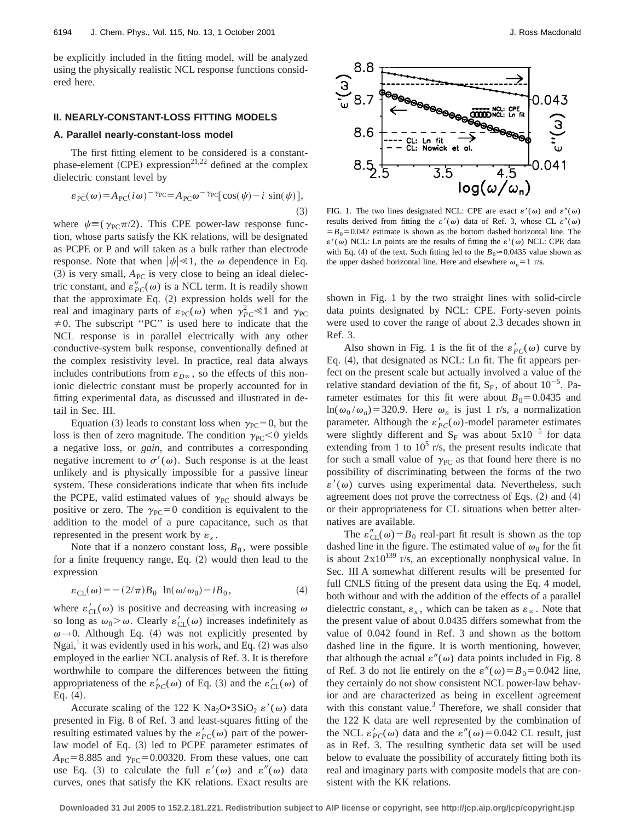be explicitly included in the fitting model, will be analyzed using the physically realistic NCL response functions considered here.

## **II. NEARLY-CONSTANT-LOSS FITTING MODELS**

### **A. Parallel nearly-constant-loss model**

The first fitting element to be considered is a constantphase-element (CPE) expression<sup>21,22</sup> defined at the complex dielectric constant level by

$$
\varepsilon_{\rm PC}(\omega) = A_{\rm PC}(i\omega)^{-\gamma_{\rm PC}} = A_{\rm PC}\omega^{-\gamma_{\rm PC}}[\cos(\psi) - i\sin(\psi)],
$$
\n(3)

where  $\psi \equiv (\gamma_{PC} \pi/2)$ . This CPE power-law response function, whose parts satisfy the KK relations, will be designated as PCPE or P and will taken as a bulk rather than electrode response. Note that when  $|\psi| \ll 1$ , the  $\omega$  dependence in Eq.  $(3)$  is very small,  $A_{PC}$  is very close to being an ideal dielectric constant, and  $\varepsilon_{PC}''(\omega)$  is a NCL term. It is readily shown that the approximate Eq.  $(2)$  expression holds well for the real and imaginary parts of  $\varepsilon_{\text{PC}}(\omega)$  when  $\gamma_{PC}^2 \ll 1$  and  $\gamma_{\text{PC}}$  $\neq$  0. The subscript "PC" is used here to indicate that the NCL response is in parallel electrically with any other conductive-system bulk response, conventionally defined at the complex resistivity level. In practice, real data always includes contributions from  $\varepsilon_{D^\infty}$ , so the effects of this nonionic dielectric constant must be properly accounted for in fitting experimental data, as discussed and illustrated in detail in Sec. III.

Equation (3) leads to constant loss when  $\gamma_{PC} = 0$ , but the loss is then of zero magnitude. The condition  $\gamma_{PC}$  < 0 yields a negative loss, or *gain*, and contributes a corresponding negative increment to  $\sigma'(\omega)$ . Such response is at the least unlikely and is physically impossible for a passive linear system. These considerations indicate that when fits include the PCPE, valid estimated values of  $\gamma_{PC}$  should always be positive or zero. The  $\gamma_{PC} = 0$  condition is equivalent to the addition to the model of a pure capacitance, such as that represented in the present work by  $\varepsilon_{x}$ .

Note that if a nonzero constant loss,  $B_0$ , were possible for a finite frequency range, Eq.  $(2)$  would then lead to the expression

$$
\varepsilon_{\text{CL}}(\omega) = -(2/\pi)B_0 \ln(\omega/\omega_0) - iB_0,\tag{4}
$$

where  $\varepsilon'_{CL}(\omega)$  is positive and decreasing with increasing  $\omega$ so long as  $\omega_0 > \omega$ . Clearly  $\varepsilon'_{CL}(\omega)$  increases indefinitely as  $\omega \rightarrow 0$ . Although Eq. (4) was not explicitly presented by Ngai,<sup>1</sup> it was evidently used in his work, and Eq.  $(2)$  was also employed in the earlier NCL analysis of Ref. 3. It is therefore worthwhile to compare the differences between the fitting appropriateness of the  $\varepsilon'_{PC}(\omega)$  of Eq. (3) and the  $\varepsilon'_{CL}(\omega)$  of Eq.  $(4)$ .

Accurate scaling of the 122 K Na<sub>2</sub>O•3SiO<sub>2</sub>  $\varepsilon'(\omega)$  data presented in Fig. 8 of Ref. 3 and least-squares fitting of the resulting estimated values by the  $\varepsilon'_{PC}(\omega)$  part of the powerlaw model of Eq. (3) led to PCPE parameter estimates of  $A_{PC}$ =8.885 and  $\gamma_{PC}$ =0.00320. From these values, one can use Eq. (3) to calculate the full  $\varepsilon'(\omega)$  and  $\varepsilon''(\omega)$  data curves, ones that satisfy the KK relations. Exact results are



FIG. 1. The two lines designated NCL: CPE are exact  $\varepsilon'(\omega)$  and  $\varepsilon''(\omega)$ results derived from fitting the  $\varepsilon'(\omega)$  data of Ref. 3, whose CL  $\varepsilon''(\omega)$  $=$   $B_0$ =0.042 estimate is shown as the bottom dashed horizontal line. The  $\varepsilon'(\omega)$  NCL: Ln points are the results of fitting the  $\varepsilon'(\omega)$  NCL: CPE data with Eq. (4) of the text. Such fitting led to the  $B_0 \approx 0.0435$  value shown as the upper dashed horizontal line. Here and elsewhere  $\omega_n = 1$  r/s.

shown in Fig. 1 by the two straight lines with solid-circle data points designated by NCL: CPE. Forty-seven points were used to cover the range of about 2.3 decades shown in Ref. 3.

Also shown in Fig. 1 is the fit of the  $\varepsilon'_{PC}(\omega)$  curve by Eq.  $(4)$ , that designated as NCL: Ln fit. The fit appears perfect on the present scale but actually involved a value of the relative standard deviation of the fit,  $S_F$ , of about  $10^{-5}$ . Parameter estimates for this fit were about  $B_0=0.0435$  and  $ln(\omega_0/\omega_n)$ =320.9. Here  $\omega_n$  is just 1 r/s, a normalization parameter. Although the  $\varepsilon'_{PC}(\omega)$ -model parameter estimates were slightly different and  $S_F$  was about  $5x10^{-5}$  for data extending from 1 to  $10^5$  r/s, the present results indicate that for such a small value of  $\gamma_{PC}$  as that found here there is no possibility of discriminating between the forms of the two  $\varepsilon'(\omega)$  curves using experimental data. Nevertheless, such agreement does not prove the correctness of Eqs.  $(2)$  and  $(4)$ or their appropriateness for CL situations when better alternatives are available.

The  $\varepsilon''_{CL}(\omega) = B_0$  real-part fit result is shown as the top dashed line in the figure. The estimated value of  $\omega_0$  for the fit is about  $2x10^{139}$  r/s, an exceptionally nonphysical value. In Sec. III A somewhat different results will be presented for full CNLS fitting of the present data using the Eq. 4 model, both without and with the addition of the effects of a parallel dielectric constant,  $\varepsilon_x$ , which can be taken as  $\varepsilon_\infty$ . Note that the present value of about 0.0435 differs somewhat from the value of 0.042 found in Ref. 3 and shown as the bottom dashed line in the figure. It is worth mentioning, however, that although the actual  $\varepsilon''(\omega)$  data points included in Fig. 8 of Ref. 3 do not lie entirely on the  $\varepsilon''(\omega) = B_0 = 0.042$  line, they certainly do not show consistent NCL power-law behavior and are characterized as being in excellent agreement with this constant value. $3$  Therefore, we shall consider that the 122 K data are well represented by the combination of the NCL  $\varepsilon'_{PC}(\omega)$  data and the  $\varepsilon''(\omega) = 0.042$  CL result, just as in Ref. 3. The resulting synthetic data set will be used below to evaluate the possibility of accurately fitting both its real and imaginary parts with composite models that are consistent with the KK relations.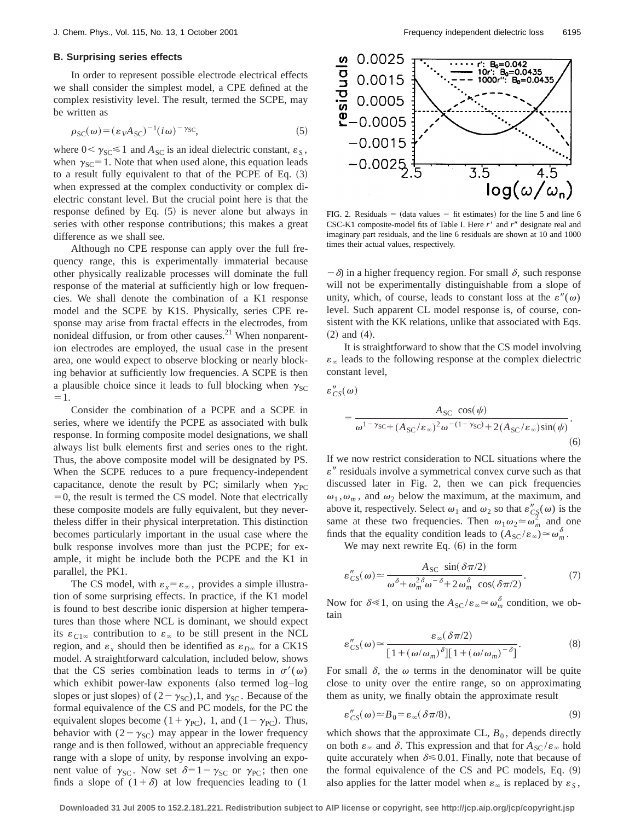## **B. Surprising series effects**

In order to represent possible electrode electrical effects we shall consider the simplest model, a CPE defined at the complex resistivity level. The result, termed the SCPE, may be written as

$$
\rho_{SC}(\omega) = (\varepsilon_V A_{SC})^{-1} (i\omega)^{-\gamma_{SC}},
$$
\n(5)

where  $0<\gamma_{\text{SC}}\leq 1$  and  $A_{\text{SC}}$  is an ideal dielectric constant,  $\varepsilon_s$ , when  $\gamma_{SC}$ =1. Note that when used alone, this equation leads to a result fully equivalent to that of the PCPE of Eq.  $(3)$ when expressed at the complex conductivity or complex dielectric constant level. But the crucial point here is that the response defined by Eq.  $(5)$  is never alone but always in series with other response contributions; this makes a great difference as we shall see.

Although no CPE response can apply over the full frequency range, this is experimentally immaterial because other physically realizable processes will dominate the full response of the material at sufficiently high or low frequencies. We shall denote the combination of a K1 response model and the SCPE by K1S. Physically, series CPE response may arise from fractal effects in the electrodes, from nonideal diffusion, or from other causes. $21$  When nonparention electrodes are employed, the usual case in the present area, one would expect to observe blocking or nearly blocking behavior at sufficiently low frequencies. A SCPE is then a plausible choice since it leads to full blocking when  $\gamma_{SC}$  $=1.$ 

Consider the combination of a PCPE and a SCPE in series, where we identify the PCPE as associated with bulk response. In forming composite model designations, we shall always list bulk elements first and series ones to the right. Thus, the above composite model will be designated by PS. When the SCPE reduces to a pure frequency-independent capacitance, denote the result by PC; similarly when  $\gamma_{PC}$  $=0$ , the result is termed the CS model. Note that electrically these composite models are fully equivalent, but they nevertheless differ in their physical interpretation. This distinction becomes particularly important in the usual case where the bulk response involves more than just the PCPE; for example, it might be include both the PCPE and the K1 in parallel, the PK1.

The CS model, with  $\varepsilon_x = \varepsilon_\infty$ , provides a simple illustration of some surprising effects. In practice, if the K1 model is found to best describe ionic dispersion at higher temperatures than those where NCL is dominant, we should expect its  $\varepsilon_{C1\infty}$  contribution to  $\varepsilon_{\infty}$  to be still present in the NCL region, and  $\varepsilon_x$  should then be identified as  $\varepsilon_{D^\infty}$  for a CK1S model. A straightforward calculation, included below, shows that the CS series combination leads to terms in  $\sigma'(\omega)$ which exhibit power-law exponents  $(also termed log-log)$ slopes or just slopes) of  $(2 - \gamma_{\text{SC}})$ , and  $\gamma_{\text{SC}}$ . Because of the formal equivalence of the CS and PC models, for the PC the equivalent slopes become  $(1+\gamma_{PC})$ , 1, and  $(1-\gamma_{PC})$ . Thus, behavior with  $(2 - \gamma_{\text{SC}})$  may appear in the lower frequency range and is then followed, without an appreciable frequency range with a slope of unity, by response involving an exponent value of  $\gamma_{SC}$ . Now set  $\delta=1-\gamma_{SC}$  or  $\gamma_{PC}$ ; then one finds a slope of  $(1+\delta)$  at low frequencies leading to (1)



FIG. 2. Residuals  $=$  (data values  $-$  fit estimates) for the line 5 and line 6 CSC-K1 composite-model fits of Table I. Here *r'* and *r*<sup>*n*</sup> designate real and imaginary part residuals, and the line 6 residuals are shown at 10 and 1000 times their actual values, respectively.

 $-\delta$  in a higher frequency region. For small  $\delta$ , such response will not be experimentally distinguishable from a slope of unity, which, of course, leads to constant loss at the  $\varepsilon''(\omega)$ level. Such apparent CL model response is, of course, consistent with the KK relations, unlike that associated with Eqs.  $(2)$  and  $(4)$ .

It is straightforward to show that the CS model involving  $\varepsilon_{\infty}$  leads to the following response at the complex dielectric constant level,

$$
\varepsilon''_{CS}(\omega)
$$

$$
= \frac{A_{\rm SC} \cos(\psi)}{\omega^{1-\gamma_{\rm SC} + (A_{\rm SC}/\varepsilon_{\infty})^2 \omega^{-(1-\gamma_{\rm SC})} + 2(A_{\rm SC}/\varepsilon_{\infty})\sin(\psi)}}.
$$
(6)

If we now restrict consideration to NCL situations where the  $\varepsilon$ " residuals involve a symmetrical convex curve such as that discussed later in Fig. 2, then we can pick frequencies  $\omega_1, \omega_m$ , and  $\omega_2$  below the maximum, at the maximum, and above it, respectively. Select  $\omega_1$  and  $\omega_2$  so that  $\varepsilon''_{CS}(\omega)$  is the same at these two frequencies. Then  $\omega_1 \omega_2 \approx \omega_m^2$  and one finds that the equality condition leads to  $(A_{SC}/\varepsilon_\infty) \simeq \omega_m^{\delta}$ .

We may next rewrite Eq.  $(6)$  in the form

$$
\varepsilon''_{CS}(\omega) \simeq \frac{A_{SC} \sin(\delta \pi/2)}{\omega^{\delta} + \omega_m^{\delta \delta} - \delta + 2 \omega_m^{\delta} \cos(\delta \pi/2)}.
$$
 (7)

Now for  $\delta \le 1$ , on using the  $A_{SC}/\varepsilon_{\infty} \simeq \omega_m^{\delta}$  condition, we obtain

$$
\varepsilon''_{CS}(\omega) \simeq \frac{\varepsilon_{\infty}(\delta \pi/2)}{\left[1 + (\omega/\omega_m)^{\delta}\right]\left[1 + (\omega/\omega_m)^{-\delta}\right]}.
$$
\n(8)

For small  $\delta$ , the  $\omega$  terms in the denominator will be quite close to unity over the entire range, so on approximating them as unity, we finally obtain the approximate result

$$
\varepsilon''_{CS}(\omega) \simeq B_0 = \varepsilon_\infty(\delta \pi/8),\tag{9}
$$

which shows that the approximate CL,  $B_0$ , depends directly on both  $\varepsilon_{\infty}$  and  $\delta$ . This expression and that for  $A_{SC} / \varepsilon_{\infty}$  hold quite accurately when  $\delta \le 0.01$ . Finally, note that because of the formal equivalence of the CS and PC models, Eq.  $(9)$ also applies for the latter model when  $\varepsilon_{\infty}$  is replaced by  $\varepsilon_{S}$ ,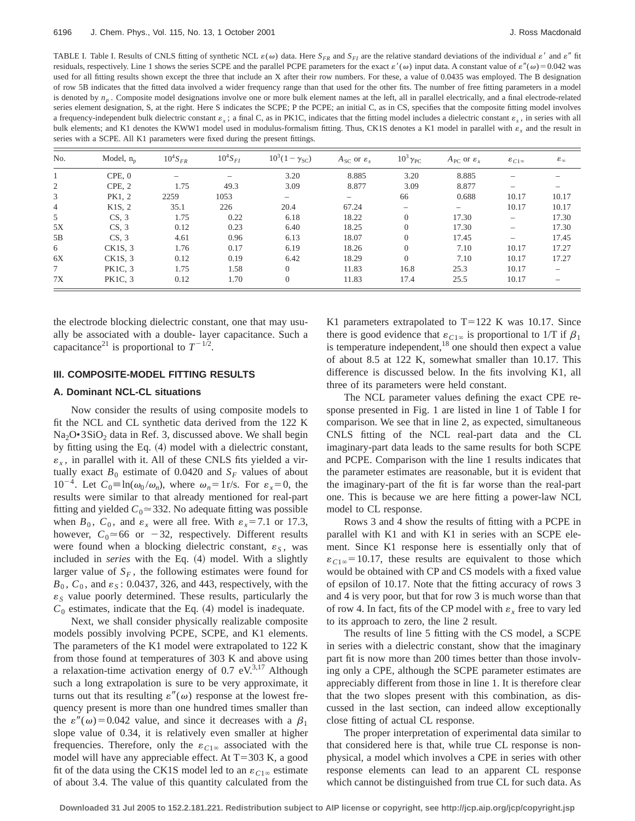TABLE I. Table I. Results of CNLS fitting of synthetic NCL  $\varepsilon(\omega)$  data. Here  $S_{FR}$  and  $S_{FI}$  are the relative standard deviations of the individual  $\varepsilon'$  and  $\varepsilon''$  fit residuals, respectively. Line 1 shows the series SCPE and the parallel PCPE parameters for the exact  $\varepsilon'(\omega)$  input data. A constant value of  $\varepsilon''(\omega) = 0.042$  was used for all fitting results shown except the three that include an X after their row numbers. For these, a value of 0.0435 was employed. The B designation of row 5B indicates that the fitted data involved a wider frequency range than that used for the other fits. The number of free fitting parameters in a model is denoted by  $n_p$ . Composite model designations involve one or more bulk element names at the left, all in parallel electrically, and a final electrode-related series element designation, S, at the right. Here S indicates the SCPE; P the PCPE; an initial C, as in CS, specifies that the composite fitting model involves a frequency-independent bulk dielectric constant  $\varepsilon_x$ ; a final C, as in PK1C, indicates that the fitting model includes a dielectric constant  $\varepsilon_x$ , in series with all bulk elements; and K1 denotes the KWW1 model used in modulus-formalism fitting. Thus, CK1S denotes a K1 model in parallel with  $\varepsilon_x$  and the result in series with a SCPE. All K1 parameters were fixed during the present fittings.

| No.            | Model, $n_p$        | $10^4S_{FR}$ | $10^4S_{FI}$ | $10^3(1 - \gamma_{\rm SC})$ | $A_{SC}$ or $\varepsilon_s$ | $10^3 \gamma_{\text{PC}}$ | $A_{\text{PC}}$ or $\varepsilon_r$ | $\varepsilon_{C1\infty}$ | $\epsilon_{\infty}$ |
|----------------|---------------------|--------------|--------------|-----------------------------|-----------------------------|---------------------------|------------------------------------|--------------------------|---------------------|
|                | CPE, 0              |              |              | 3.20                        | 8.885                       | 3.20                      | 8.885                              |                          |                     |
| 2              | CPE, 2              | 1.75         | 49.3         | 3.09                        | 8.877                       | 3.09                      | 8.877                              |                          |                     |
| 3              | PK1, 2              | 2259         | 1053         | $\overline{\phantom{0}}$    | $\overline{\phantom{0}}$    | 66                        | 0.688                              | 10.17                    | 10.17               |
| $\overline{4}$ | K <sub>1</sub> S, 2 | 35.1         | 226          | 20.4                        | 67.24                       | $\overline{\phantom{0}}$  |                                    | 10.17                    | 10.17               |
| 5              | CS, 3               | 1.75         | 0.22         | 6.18                        | 18.22                       | $\overline{0}$            | 17.30                              |                          | 17.30               |
| 5X             | CS.3                | 0.12         | 0.23         | 6.40                        | 18.25                       | $\overline{0}$            | 17.30                              |                          | 17.30               |
| 5B             | CS, 3               | 4.61         | 0.96         | 6.13                        | 18.07                       | $\Omega$                  | 17.45                              |                          | 17.45               |
| 6              | CK1S, 3             | 1.76         | 0.17         | 6.19                        | 18.26                       | $\overline{0}$            | 7.10                               | 10.17                    | 17.27               |
| 6X             | CK1S, 3             | 0.12         | 0.19         | 6.42                        | 18.29                       | $\Omega$                  | 7.10                               | 10.17                    | 17.27               |
| $\tau$         | <b>PK1C. 3</b>      | 1.75         | 1.58         | $\Omega$                    | 11.83                       | 16.8                      | 25.3                               | 10.17                    |                     |
| 7X             | <b>PK1C, 3</b>      | 0.12         | 1.70         | $\overline{0}$              | 11.83                       | 17.4                      | 25.5                               | 10.17                    |                     |

the electrode blocking dielectric constant, one that may usually be associated with a double- layer capacitance. Such a capacitance<sup>21</sup> is proportional to  $T^{-1/2}$ .

## **III. COMPOSITE-MODEL FITTING RESULTS**

## **A. Dominant NCL-CL situations**

Now consider the results of using composite models to fit the NCL and CL synthetic data derived from the 122 K  $Na<sub>2</sub>O•3SiO<sub>2</sub>$  data in Ref. 3, discussed above. We shall begin by fitting using the Eq.  $(4)$  model with a dielectric constant,  $\varepsilon_x$ , in parallel with it. All of these CNLS fits yielded a virtually exact  $B_0$  estimate of 0.0420 and  $S_F$  values of about  $10^{-4}$ . Let  $C_0 \equiv \ln(\omega_0 / \omega_n)$ , where  $\omega_n = 1$  r/s. For  $\varepsilon_x = 0$ , the results were similar to that already mentioned for real-part fitting and yielded  $C_0 \approx 332$ . No adequate fitting was possible when  $B_0$ ,  $C_0$ , and  $\varepsilon_x$  were all free. With  $\varepsilon_x = 7.1$  or 17.3, however,  $C_0 \approx 66$  or  $-32$ , respectively. Different results were found when a blocking dielectric constant,  $\varepsilon_S$ , was included in *series* with the Eq. (4) model. With a slightly larger value of  $S_F$ , the following estimates were found for  $B_0$ ,  $C_0$ , and  $\varepsilon_s$ : 0.0437, 326, and 443, respectively, with the  $\varepsilon$ <sub>S</sub> value poorly determined. These results, particularly the  $C_0$  estimates, indicate that the Eq.  $(4)$  model is inadequate.

Next, we shall consider physically realizable composite models possibly involving PCPE, SCPE, and K1 elements. The parameters of the K1 model were extrapolated to 122 K from those found at temperatures of 303 K and above using a relaxation-time activation energy of  $0.7 \text{ eV}^{3,17}$  Although such a long extrapolation is sure to be very approximate, it turns out that its resulting  $\varepsilon''(\omega)$  response at the lowest frequency present is more than one hundred times smaller than the  $\varepsilon''(\omega) = 0.042$  value, and since it decreases with a  $\beta_1$ slope value of 0.34, it is relatively even smaller at higher frequencies. Therefore, only the  $\varepsilon_{C1\infty}$  associated with the model will have any appreciable effect. At  $T=303$  K, a good fit of the data using the CK1S model led to an  $\varepsilon_{C1\infty}$  estimate of about 3.4. The value of this quantity calculated from the K1 parameters extrapolated to  $T=122$  K was 10.17. Since there is good evidence that  $\varepsilon_{C1\infty}$  is proportional to 1/T if  $\beta_1$ is temperature independent,  $18$  one should then expect a value of about 8.5 at 122 K, somewhat smaller than 10.17. This difference is discussed below. In the fits involving K1, all three of its parameters were held constant.

The NCL parameter values defining the exact CPE response presented in Fig. 1 are listed in line 1 of Table I for comparison. We see that in line 2, as expected, simultaneous CNLS fitting of the NCL real-part data and the CL imaginary-part data leads to the same results for both SCPE and PCPE. Comparison with the line 1 results indicates that the parameter estimates are reasonable, but it is evident that the imaginary-part of the fit is far worse than the real-part one. This is because we are here fitting a power-law NCL model to CL response.

Rows 3 and 4 show the results of fitting with a PCPE in parallel with K1 and with K1 in series with an SCPE element. Since K1 response here is essentially only that of  $\varepsilon_{C1\infty}$ =10.17, these results are equivalent to those which would be obtained with CP and CS models with a fixed value of epsilon of 10.17. Note that the fitting accuracy of rows 3 and 4 is very poor, but that for row 3 is much worse than that of row 4. In fact, fits of the CP model with  $\varepsilon$ <sub>x</sub> free to vary led to its approach to zero, the line 2 result.

The results of line 5 fitting with the CS model, a SCPE in series with a dielectric constant, show that the imaginary part fit is now more than 200 times better than those involving only a CPE, although the SCPE parameter estimates are appreciably different from those in line 1. It is therefore clear that the two slopes present with this combination, as discussed in the last section, can indeed allow exceptionally close fitting of actual CL response.

The proper interpretation of experimental data similar to that considered here is that, while true CL response is nonphysical, a model which involves a CPE in series with other response elements can lead to an apparent CL response which cannot be distinguished from true CL for such data. As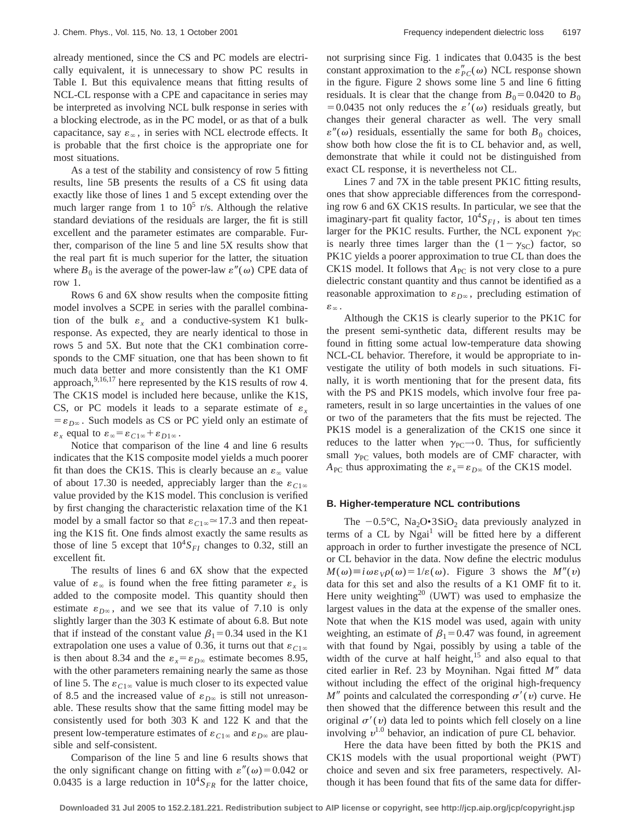already mentioned, since the CS and PC models are electrically equivalent, it is unnecessary to show PC results in Table I. But this equivalence means that fitting results of NCL-CL response with a CPE and capacitance in series may be interpreted as involving NCL bulk response in series with a blocking electrode, as in the PC model, or as that of a bulk capacitance, say  $\varepsilon_{\infty}$ , in series with NCL electrode effects. It is probable that the first choice is the appropriate one for most situations.

As a test of the stability and consistency of row 5 fitting results, line 5B presents the results of a CS fit using data exactly like those of lines 1 and 5 except extending over the much larger range from 1 to  $10^5$  r/s. Although the relative standard deviations of the residuals are larger, the fit is still excellent and the parameter estimates are comparable. Further, comparison of the line 5 and line 5X results show that the real part fit is much superior for the latter, the situation where  $B_0$  is the average of the power-law  $\varepsilon''(\omega)$  CPE data of row 1.

Rows 6 and 6X show results when the composite fitting model involves a SCPE in series with the parallel combination of the bulk  $\varepsilon$ <sub>x</sub> and a conductive-system K1 bulkresponse. As expected, they are nearly identical to those in rows 5 and 5X. But note that the CK1 combination corresponds to the CMF situation, one that has been shown to fit much data better and more consistently than the K1 OMF approach,  $9,16,17$  here represented by the K1S results of row 4. The CK1S model is included here because, unlike the K1S, CS, or PC models it leads to a separate estimate of  $\varepsilon$ <sub>x</sub>  $=\varepsilon_{D\infty}$ . Such models as CS or PC yield only an estimate of  $\varepsilon_x$  equal to  $\varepsilon_\infty = \varepsilon_{C1\infty} + \varepsilon_{D1\infty}$ .

Notice that comparison of the line 4 and line 6 results indicates that the K1S composite model yields a much poorer fit than does the CK1S. This is clearly because an  $\varepsilon_{\infty}$  value of about 17.30 is needed, appreciably larger than the  $\varepsilon_{C1\infty}$ value provided by the K1S model. This conclusion is verified by first changing the characteristic relaxation time of the K1 model by a small factor so that  $\varepsilon_{C1\infty} \approx 17.3$  and then repeating the K1S fit. One finds almost exactly the same results as those of line 5 except that  $10^4S_{FI}$  changes to 0.32, still an excellent fit.

The results of lines 6 and 6X show that the expected value of  $\varepsilon_{\infty}$  is found when the free fitting parameter  $\varepsilon_{r}$  is added to the composite model. This quantity should then estimate  $\varepsilon_{D\infty}$ , and we see that its value of 7.10 is only slightly larger than the 303 K estimate of about 6.8. But note that if instead of the constant value  $\beta_1=0.34$  used in the K1 extrapolation one uses a value of 0.36, it turns out that  $\varepsilon_{C1\infty}$ is then about 8.34 and the  $\varepsilon_x = \varepsilon_{D\infty}$  estimate becomes 8.95, with the other parameters remaining nearly the same as those of line 5. The  $\varepsilon_{C1\infty}$  value is much closer to its expected value of 8.5 and the increased value of  $\varepsilon_{D^\infty}$  is still not unreasonable. These results show that the same fitting model may be consistently used for both 303 K and 122 K and that the present low-temperature estimates of  $\varepsilon_{C1\infty}$  and  $\varepsilon_{D\infty}$  are plausible and self-consistent.

Comparison of the line 5 and line 6 results shows that the only significant change on fitting with  $\varepsilon''(\omega) = 0.042$  or 0.0435 is a large reduction in  $10^4S_{FR}$  for the latter choice, not surprising since Fig. 1 indicates that 0.0435 is the best constant approximation to the  $\varepsilon_{PC}^{"}(\omega)$  NCL response shown in the figure. Figure 2 shows some line 5 and line 6 fitting residuals. It is clear that the change from  $B_0 = 0.0420$  to  $B_0$ =0.0435 not only reduces the  $\varepsilon'(\omega)$  residuals greatly, but changes their general character as well. The very small  $\varepsilon''(\omega)$  residuals, essentially the same for both  $B_0$  choices, show both how close the fit is to CL behavior and, as well, demonstrate that while it could not be distinguished from exact CL response, it is nevertheless not CL.

Lines 7 and 7X in the table present PK1C fitting results, ones that show appreciable differences from the corresponding row 6 and 6X CK1S results. In particular, we see that the imaginary-part fit quality factor,  $10^4S_{FI}$ , is about ten times larger for the PK1C results. Further, the NCL exponent  $\gamma_{PC}$ is nearly three times larger than the  $(1 - \gamma_{SC})$  factor, so PK1C yields a poorer approximation to true CL than does the CK1S model. It follows that  $A_{PC}$  is not very close to a pure dielectric constant quantity and thus cannot be identified as a reasonable approximation to  $\varepsilon_{D^\infty}$ , precluding estimation of  $\varepsilon_{\infty}$  .

Although the CK1S is clearly superior to the PK1C for the present semi-synthetic data, different results may be found in fitting some actual low-temperature data showing NCL-CL behavior. Therefore, it would be appropriate to investigate the utility of both models in such situations. Finally, it is worth mentioning that for the present data, fits with the PS and PK1S models, which involve four free parameters, result in so large uncertainties in the values of one or two of the parameters that the fits must be rejected. The PK1S model is a generalization of the CK1S one since it reduces to the latter when  $\gamma_{PC}\rightarrow 0$ . Thus, for sufficiently small  $\gamma_{PC}$  values, both models are of CMF character, with  $A_{\text{PC}}$  thus approximating the  $\varepsilon_x = \varepsilon_{D^\infty}$  of the CK1S model.

### **B. Higher-temperature NCL contributions**

The  $-0.5^{\circ}$ C, Na<sub>2</sub>O•3SiO<sub>2</sub> data previously analyzed in terms of a CL by  $Ngai<sup>1</sup>$  will be fitted here by a different approach in order to further investigate the presence of NCL or CL behavior in the data. Now define the electric modulus  $M(\omega) \equiv i \omega \varepsilon_{V} \rho(\omega) = 1/\varepsilon(\omega)$ . Figure 3 shows the  $M''(v)$ data for this set and also the results of a K1 OMF fit to it. Here unity weighting<sup>20</sup> (UWT) was used to emphasize the largest values in the data at the expense of the smaller ones. Note that when the K1S model was used, again with unity weighting, an estimate of  $\beta_1=0.47$  was found, in agreement with that found by Ngai, possibly by using a table of the width of the curve at half height, $15$  and also equal to that cited earlier in Ref. 23 by Moynihan. Ngai fitted M<sup>*n*</sup> data without including the effect of the original high-frequency  $M''$  points and calculated the corresponding  $\sigma'(v)$  curve. He then showed that the difference between this result and the original  $\sigma'(v)$  data led to points which fell closely on a line involving  $v^{1,0}$  behavior, an indication of pure CL behavior.

Here the data have been fitted by both the PK1S and CK1S models with the usual proportional weight (PWT) choice and seven and six free parameters, respectively. Although it has been found that fits of the same data for differ-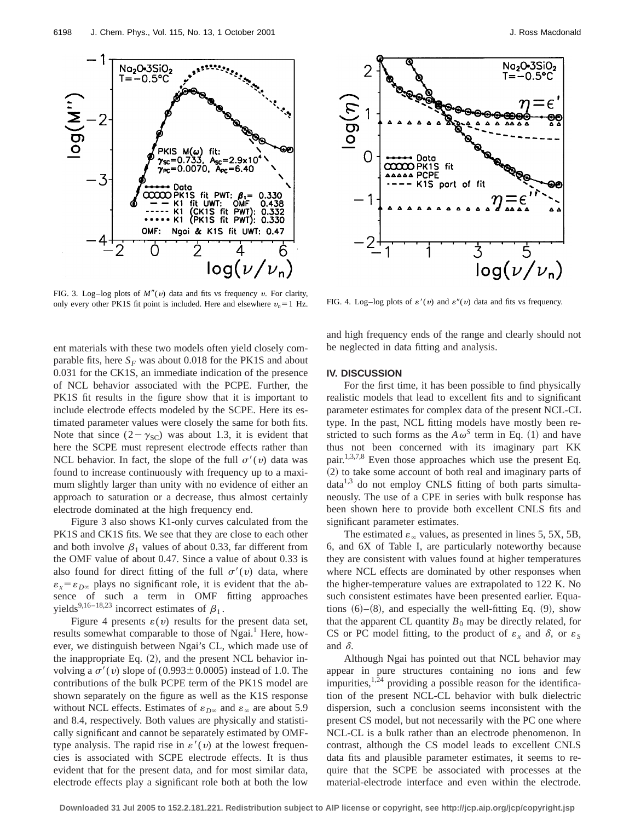

FIG. 3. Log–log plots of  $M''(v)$  data and fits vs frequency v. For clarity, only every other PK1S fit point is included. Here and elsewhere  $v_n = 1$  Hz. FIG. 4. Log–log plots of  $\varepsilon'(v)$  and  $\varepsilon''(v)$  data and fits vs frequency.

ent materials with these two models often yield closely comparable fits, here  $S_F$  was about 0.018 for the PK1S and about 0.031 for the CK1S, an immediate indication of the presence of NCL behavior associated with the PCPE. Further, the PK1S fit results in the figure show that it is important to include electrode effects modeled by the SCPE. Here its estimated parameter values were closely the same for both fits. Note that since  $(2 - \gamma_{\text{SC}})$  was about 1.3, it is evident that here the SCPE must represent electrode effects rather than NCL behavior. In fact, the slope of the full  $\sigma'(v)$  data was found to increase continuously with frequency up to a maximum slightly larger than unity with no evidence of either an approach to saturation or a decrease, thus almost certainly electrode dominated at the high frequency end.

Figure 3 also shows K1-only curves calculated from the PK1S and CK1S fits. We see that they are close to each other and both involve  $\beta_1$  values of about 0.33, far different from the OMF value of about 0.47. Since a value of about 0.33 is also found for direct fitting of the full  $\sigma'(v)$  data, where  $\varepsilon_x = \varepsilon_{D^\infty}$  plays no significant role, it is evident that the absence of such a term in OMF fitting approaches yields<sup>9,16–18,23</sup> incorrect estimates of  $\beta_1$ .

Figure 4 presents  $\varepsilon(v)$  results for the present data set, results somewhat comparable to those of Ngai.<sup>1</sup> Here, however, we distinguish between Ngai's CL, which made use of the inappropriate Eq.  $(2)$ , and the present NCL behavior involving a  $\sigma'(v)$  slope of (0.993±0.0005) instead of 1.0. The contributions of the bulk PCPE term of the PK1S model are shown separately on the figure as well as the K1S response without NCL effects. Estimates of  $\varepsilon_{D\infty}$  and  $\varepsilon_{\infty}$  are about 5.9 and 8.4, respectively. Both values are physically and statistically significant and cannot be separately estimated by OMFtype analysis. The rapid rise in  $\varepsilon'(v)$  at the lowest frequencies is associated with SCPE electrode effects. It is thus evident that for the present data, and for most similar data, electrode effects play a significant role both at both the low



and high frequency ends of the range and clearly should not be neglected in data fitting and analysis.

## **IV. DISCUSSION**

For the first time, it has been possible to find physically realistic models that lead to excellent fits and to significant parameter estimates for complex data of the present NCL-CL type. In the past, NCL fitting models have mostly been restricted to such forms as the  $A\omega^S$  term in Eq. (1) and have thus not been concerned with its imaginary part KK pair.<sup>1,3,7,8</sup> Even those approaches which use the present Eq. ~2! to take some account of both real and imaginary parts of  $data<sup>1,3</sup>$  do not employ CNLS fitting of both parts simultaneously. The use of a CPE in series with bulk response has been shown here to provide both excellent CNLS fits and significant parameter estimates.

The estimated  $\varepsilon_{\infty}$  values, as presented in lines 5, 5X, 5B, 6, and 6X of Table I, are particularly noteworthy because they are consistent with values found at higher temperatures where NCL effects are dominated by other responses when the higher-temperature values are extrapolated to 122 K. No such consistent estimates have been presented earlier. Equations  $(6)–(8)$ , and especially the well-fitting Eq.  $(9)$ , show that the apparent CL quantity  $B_0$  may be directly related, for CS or PC model fitting, to the product of  $\varepsilon_x$  and  $\delta$ , or  $\varepsilon_s$ and  $\delta$ .

Although Ngai has pointed out that NCL behavior may appear in pure structures containing no ions and few impurities, $1,24$  providing a possible reason for the identification of the present NCL-CL behavior with bulk dielectric dispersion, such a conclusion seems inconsistent with the present CS model, but not necessarily with the PC one where NCL-CL is a bulk rather than an electrode phenomenon. In contrast, although the CS model leads to excellent CNLS data fits and plausible parameter estimates, it seems to require that the SCPE be associated with processes at the material-electrode interface and even within the electrode.